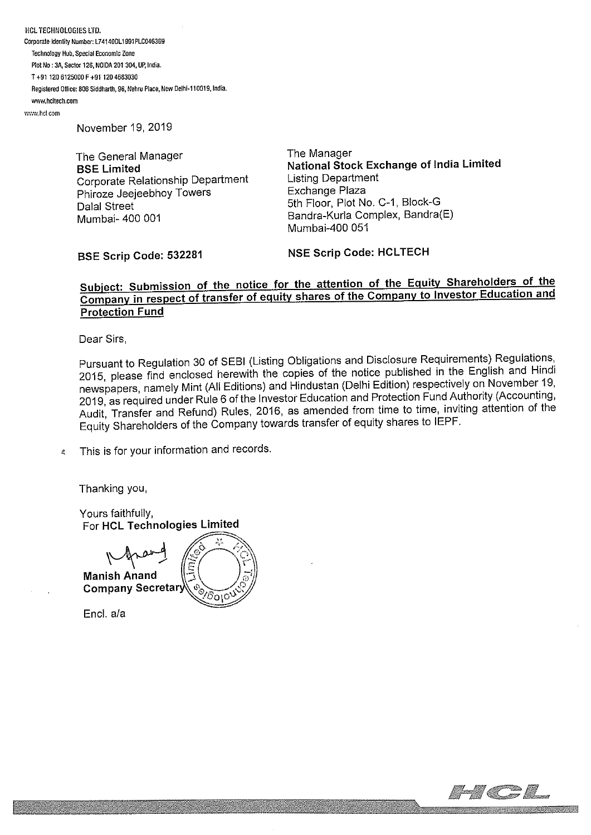**HCL TECHNOLOGIES LTD.** Corporate Identity Number: L741400L1 991 PLC046369 Technology Hub, Special Economic Zone Plot No: 34, Sector 126, NOIDA 201 304, UP, India. T÷91 120 6125000F.91 1204583030 Registered Office: 806 Siddharth, 96, Nehru Place, New Oelhi-1 10019, India. ~wAv.hcItech,cem

~wm.hcLcom

November 19, 2019

The General Manager BSE Limited Corporate Relationship Department Phiroze Jeejeebhoy Towers Dalal Street Mumbai- 400 001

The Manager National Stock Exchange of India Limited Listing Department Exchange Plaza 5th Floor, Plot No. C-1, Block-G Bandra-Kurla Complex, Bandra(E) Mumbai-400 051

BSE Scrip Code: 532281

NSF Scrip Code: HCLTECH

## Subiect: Submission of the notice for the attention of the Equity Shareholders of the Company in respect of transfer of equity shares of the Company to Investor Education and Protection Fund

Dear Sirs,

Pursuant to Regulation 30 of SEBI (Listing Obligations and Disclosure Requirements) Regulations, 2015, please find enclosed herewith the copies of the notice published in the English and Hindi newspapers, namely Mint (All Editions) and Hindustan (Delhi Edition) respectively on November 19, 2019, as required under Rule 6 of the Investor Education and Protection Fund Authority (Accounting, Audit, Transfer and Refund) Rules, 2016, as amended from time to time, inviting attention of the Equity Shareholders of the Company towards transfer of equity shares to IEPF.

This is for your information and records.  $\mathbb{R}^2$ 

Thanking you,

Yours faithfully, For HCL Technologies Limited

Manish Anand Company Secreta ΰοιο

End, a/a

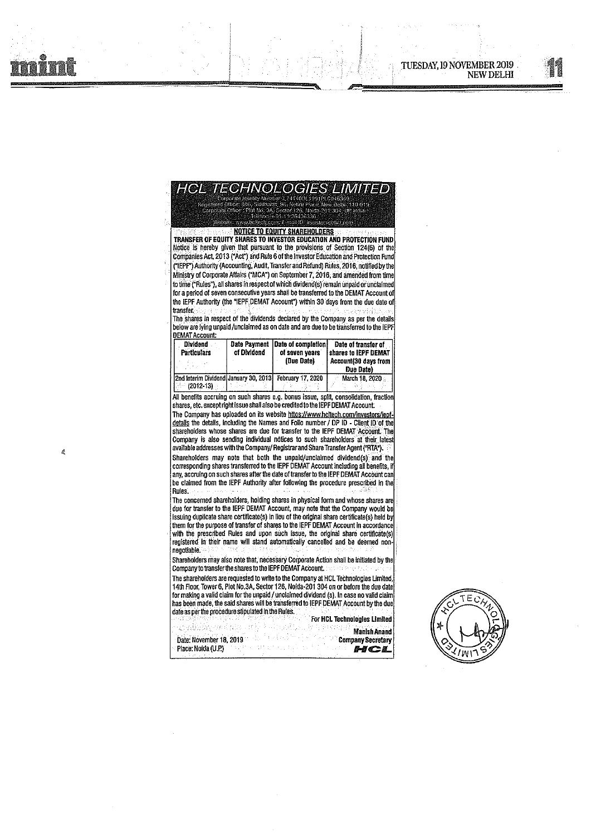$\tilde{a}$ 



1, 31 11 OR 136336

**NOTICE TO EQUITY SHAREHOLDERS** TRANSFER OF EQUITY SHARES TO INVESTOR EDUCATION AND PROTECTION FUND Notice Is hereby given That pursuant to the provisions of Section 124(6) of the Companies Act, 2013 ( Act") and Rule 6 of the Investor Education and Protection Func ("IEPF") Authority (Accounting, Audit, Transfer and Refund) Rules, 2016, notified by the Ministry of Corporate Affairs ( MCA") on September 7 2016 and amended from time to time ("Rules"), all shares in respect of which dividend(s) remain unpaid or unclaimed for a period of seven consecutive years shall be transferred to the DEMAT Account of the IEPF Authority (the "IEPF DEMAT Account") within 30 days from the due date of transfer Vebsite, www.holtech.com: E-mail ID, investi

The shares In respect of the dividends declared by the Company as per the details below are lying unpaid /unclaimed as on date and are due to be transferred to the IEPF DEMAT Account

| <b>Dividend</b><br><b>Particulars</b>                                | of Dividend | Date Payment Date of completion<br>of seven vears<br>(Due Date) | Date of transfer of<br><b>Ishares to IEPF DEMAT</b><br>Account(30 days from<br>Due Date) |  |
|----------------------------------------------------------------------|-------------|-----------------------------------------------------------------|------------------------------------------------------------------------------------------|--|
| 2nd Interim Dividend January 30, 2013 February 17, 2020<br>(2012-13) |             |                                                                 | March 18, 2020                                                                           |  |

All benefits accruing on such shares e.g. bonus issue, split, consolidation, fraction shares, etc. except right issue shall also be credited to the IEPF DEMAT Account.

The Company has uploaded on its website httos://www.heltech.com/investors/lepf-<u>details</u> the details, including the Names and Folio number / DP ID - Client ID of the shareholders whose shares are due for transfer to the IEPF DEMAT Account. The Company is also sending individual notices to such shareholders at their latest available addresses with the Company/ Registrar and Share Transfer Agent ("RTA").

Shareholders may note that both the unpaid/unclaimed dividend(s) and the corresponding shares transferred to the IEPF DEMAT Account including all benefits, if any, accruing on such shares after the date of transfer to the IEPF DEMAT Account can be claimed from tire IEPF Authority after following the procedure prescribed In the Rules.

The concerned shareholders, holding shares in physical form and whose shares are due for transfer to the IEPF DEMAT Account, may note that the Company would be issuing duplicate share certificate(s) in lieu of the original share certificate(s) held by them for the purpose of transfer of shares to the IEPF DEMAT Account in accordance with the prescribed Rules and upon such Issue, the original share certificate(s) registered in their name will stand automatically cancelled and be deemed non negotiable. '

Shareholders may also note that, necessary Corporate Action shall be initiated by the Company to transfer the shares to the IEPF DEMAT Account.

The shareholders are requested to write to the Company at HCL Technologies Limited, 14th Floor, Tower 6, Plot No.3A, Sector 120, Noida-201 304 on or before the due date for making a valid claim forthe unpaid/unclaimed dividend (s). In case no valid claim has been made, the said shares will be transferred to IEPF DEMAT Account by the due date as per the procedure stipulated in the Rules. For HCL Technologies LImIted

and also ManlshAnand Date: November 18, 2019 **Company Secretary** Place: Noida (U.P.) in the place  $\blacksquare$  place:  $\blacksquare$   $\blacksquare$   $\blacksquare$